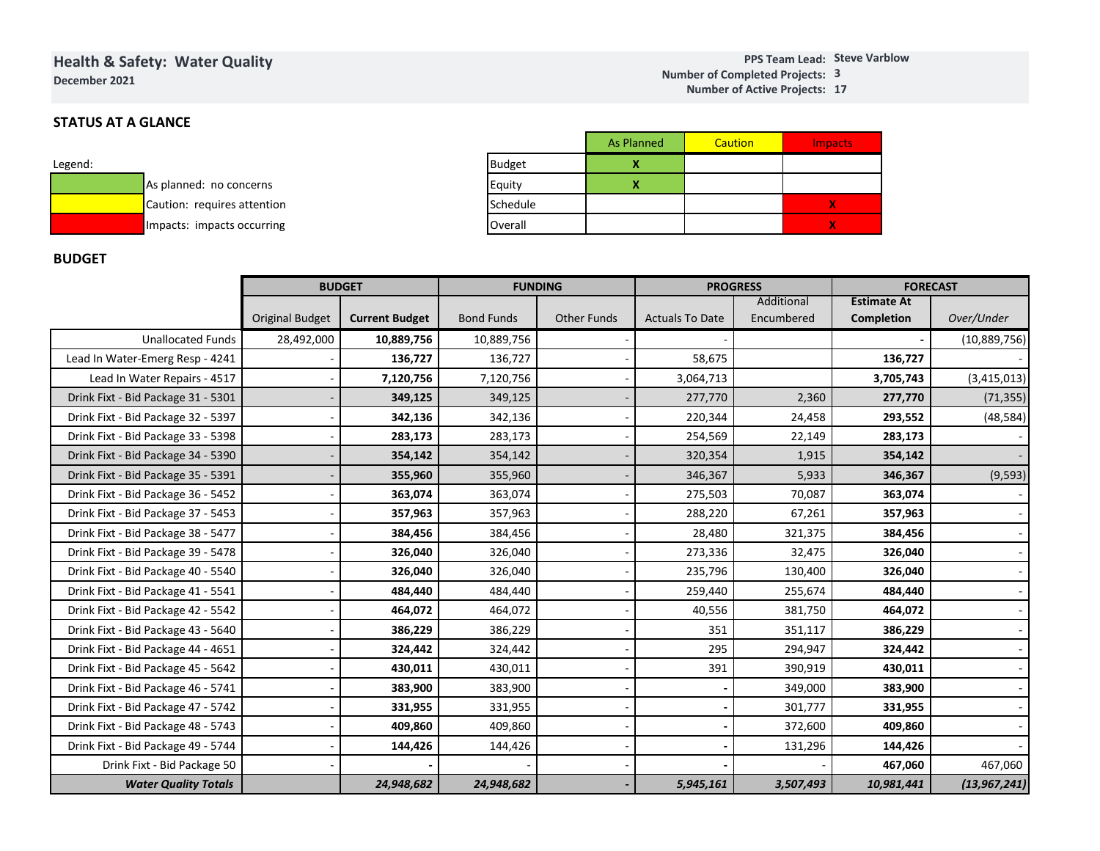## **Health & Safety: Water QualityDecember 2021**

#### **Steve VarblowPPS Team Lead:3Number of Completed Projects: 17 Number of Active Projects:**

# **STATUS AT A GLANCE**

| Legend: |                             |
|---------|-----------------------------|
|         | As planned: no concerns     |
|         | Caution: requires attention |
|         | Impacts: impacts occurring  |

|               | <b>As Planned</b> | Caution | <b>Impacts</b> |
|---------------|-------------------|---------|----------------|
| <b>Budget</b> |                   |         |                |
| Equity        |                   |         |                |
| Schedule      |                   |         | X              |
| Overall       |                   |         | X              |

# **BUDGET**

| Impacts: impacts occurring         |                        |                       | Overall           |                    |                        |                          |                                         |                |
|------------------------------------|------------------------|-----------------------|-------------------|--------------------|------------------------|--------------------------|-----------------------------------------|----------------|
| <b>BUDGET</b>                      |                        |                       |                   |                    |                        |                          |                                         |                |
|                                    |                        | <b>BUDGET</b>         | <b>FUNDING</b>    |                    | <b>PROGRESS</b>        |                          | <b>FORECAST</b>                         |                |
|                                    | <b>Original Budget</b> | <b>Current Budget</b> | <b>Bond Funds</b> | <b>Other Funds</b> | <b>Actuals To Date</b> | Additional<br>Encumbered | <b>Estimate At</b><br><b>Completion</b> | Over/Under     |
| <b>Unallocated Funds</b>           | 28,492,000             | 10,889,756            | 10,889,756        |                    |                        |                          |                                         | (10,889,756)   |
| Lead In Water-Emerg Resp - 4241    |                        | 136,727               | 136,727           |                    | 58,675                 |                          | 136,727                                 |                |
| Lead In Water Repairs - 4517       |                        | 7,120,756             | 7,120,756         |                    | 3,064,713              |                          | 3,705,743                               | (3,415,013)    |
| Drink Fixt - Bid Package 31 - 5301 |                        | 349,125               | 349,125           |                    | 277,770                | 2,360                    | 277,770                                 | (71, 355)      |
| Drink Fixt - Bid Package 32 - 5397 |                        | 342,136               | 342,136           |                    | 220,344                | 24,458                   | 293,552                                 | (48, 584)      |
| Drink Fixt - Bid Package 33 - 5398 |                        | 283,173               | 283,173           |                    | 254,569                | 22,149                   | 283,173                                 |                |
| Drink Fixt - Bid Package 34 - 5390 |                        | 354,142               | 354,142           |                    | 320,354                | 1,915                    | 354,142                                 |                |
| Drink Fixt - Bid Package 35 - 5391 |                        | 355,960               | 355,960           |                    | 346,367                | 5,933                    | 346,367                                 | (9, 593)       |
| Drink Fixt - Bid Package 36 - 5452 |                        | 363,074               | 363,074           |                    | 275,503                | 70,087                   | 363,074                                 |                |
| Drink Fixt - Bid Package 37 - 5453 |                        | 357,963               | 357,963           |                    | 288,220                | 67,261                   | 357,963                                 |                |
| Drink Fixt - Bid Package 38 - 5477 |                        | 384,456               | 384,456           |                    | 28,480                 | 321,375                  | 384,456                                 |                |
| Drink Fixt - Bid Package 39 - 5478 |                        | 326,040               | 326,040           |                    | 273,336                | 32,475                   | 326,040                                 |                |
| Drink Fixt - Bid Package 40 - 5540 |                        | 326,040               | 326,040           |                    | 235,796                | 130,400                  | 326,040                                 |                |
| Drink Fixt - Bid Package 41 - 5541 |                        | 484,440               | 484,440           |                    | 259,440                | 255,674                  | 484,440                                 |                |
| Drink Fixt - Bid Package 42 - 5542 |                        | 464,072               | 464,072           |                    | 40,556                 | 381,750                  | 464,072                                 |                |
| Drink Fixt - Bid Package 43 - 5640 |                        | 386,229               | 386,229           |                    | 351                    | 351,117                  | 386,229                                 |                |
| Drink Fixt - Bid Package 44 - 4651 |                        | 324,442               | 324,442           |                    | 295                    | 294,947                  | 324,442                                 |                |
| Drink Fixt - Bid Package 45 - 5642 |                        | 430,011               | 430,011           |                    | 391                    | 390,919                  | 430,011                                 |                |
| Drink Fixt - Bid Package 46 - 5741 |                        | 383,900               | 383,900           |                    |                        | 349,000                  | 383,900                                 |                |
| Drink Fixt - Bid Package 47 - 5742 |                        | 331,955               | 331,955           |                    |                        | 301,777                  | 331,955                                 |                |
| Drink Fixt - Bid Package 48 - 5743 |                        | 409,860               | 409,860           |                    |                        | 372,600                  | 409,860                                 |                |
| Drink Fixt - Bid Package 49 - 5744 |                        | 144,426               | 144,426           |                    |                        | 131,296                  | 144,426                                 |                |
| Drink Fixt - Bid Package 50        |                        |                       |                   |                    |                        |                          | 467,060                                 | 467,060        |
| <b>Water Quality Totals</b>        |                        | 24,948,682            | 24,948,682        |                    | 5,945,161              | 3,507,493                | 10,981,441                              | (13, 967, 241) |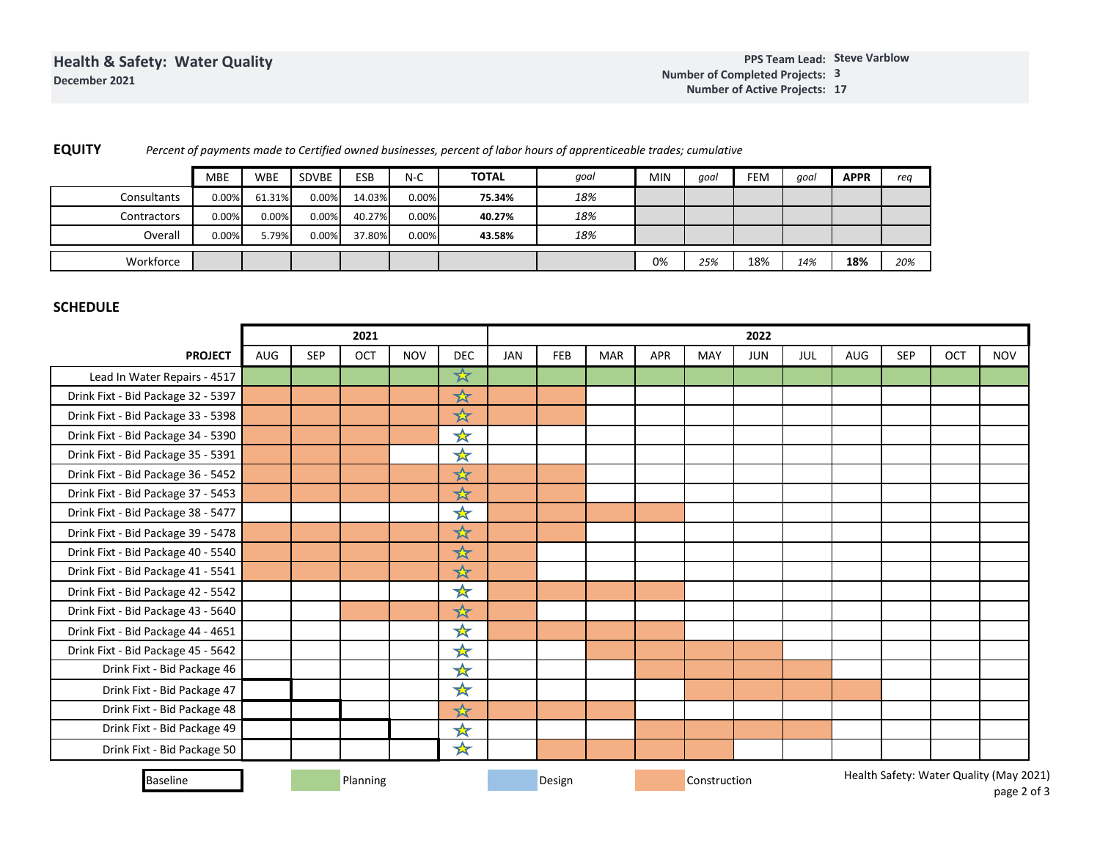| <b>EQUITY</b> | Percent of payments made to Certified owned businesses, percent of labor hours of apprenticeable trades; cumulative |
|---------------|---------------------------------------------------------------------------------------------------------------------|
|               |                                                                                                                     |

|             | <b>MBE</b> | <b>WBE</b> | SDVBE    | ESB    | $N-C$ | <b>TOTAL</b> | qoal | <b>MIN</b> | goal | FEM | goal | <b>APPR</b> | rea |
|-------------|------------|------------|----------|--------|-------|--------------|------|------------|------|-----|------|-------------|-----|
| Consultants | 0.00%      | 61.31%     | $0.00\%$ | 14.03% | 0.00% | 75.34%       | 18%  |            |      |     |      |             |     |
| Contractors | 0.00%      | $0.00\%$   | $0.00\%$ | 40.27% | 0.00% | 40.27%       | 18%  |            |      |     |      |             |     |
| Overall     | 0.00%      | 5.79%      | $0.00\%$ | 37.80% | 0.00% | 43.58%       | 18%  |            |      |     |      |             |     |
| Workforce   |            |            |          |        |       |              |      | 0%         | 25%  | 18% | 14%  | 18%         | 20% |

# **SCHEDULE**

|                                    |            |            | 2021     |            |            |            | 2022   |            |     |              |            |     |     |                                         |     |               |
|------------------------------------|------------|------------|----------|------------|------------|------------|--------|------------|-----|--------------|------------|-----|-----|-----------------------------------------|-----|---------------|
| <b>PROJECT</b>                     | <b>AUG</b> | <b>SEP</b> | OCT      | <b>NOV</b> | <b>DEC</b> | <b>JAN</b> | FEB    | <b>MAR</b> | APR | MAY          | <b>JUN</b> | JUL | AUG | <b>SEP</b>                              | OCT | <b>NOV</b>    |
| Lead In Water Repairs - 4517       |            |            |          |            | ☆          |            |        |            |     |              |            |     |     |                                         |     |               |
| Drink Fixt - Bid Package 32 - 5397 |            |            |          |            | $\star$    |            |        |            |     |              |            |     |     |                                         |     |               |
| Drink Fixt - Bid Package 33 - 5398 |            |            |          |            | ☆          |            |        |            |     |              |            |     |     |                                         |     |               |
| Drink Fixt - Bid Package 34 - 5390 |            |            |          |            | ☆          |            |        |            |     |              |            |     |     |                                         |     |               |
| Drink Fixt - Bid Package 35 - 5391 |            |            |          |            | ☆          |            |        |            |     |              |            |     |     |                                         |     |               |
| Drink Fixt - Bid Package 36 - 5452 |            |            |          |            | ☆          |            |        |            |     |              |            |     |     |                                         |     |               |
| Drink Fixt - Bid Package 37 - 5453 |            |            |          |            | ☆          |            |        |            |     |              |            |     |     |                                         |     |               |
| Drink Fixt - Bid Package 38 - 5477 |            |            |          |            | ★          |            |        |            |     |              |            |     |     |                                         |     |               |
| Drink Fixt - Bid Package 39 - 5478 |            |            |          |            | $\star$    |            |        |            |     |              |            |     |     |                                         |     |               |
| Drink Fixt - Bid Package 40 - 5540 |            |            |          |            | $\star$    |            |        |            |     |              |            |     |     |                                         |     |               |
| Drink Fixt - Bid Package 41 - 5541 |            |            |          |            | $\star$    |            |        |            |     |              |            |     |     |                                         |     |               |
| Drink Fixt - Bid Package 42 - 5542 |            |            |          |            | <b>☆</b>   |            |        |            |     |              |            |     |     |                                         |     |               |
| Drink Fixt - Bid Package 43 - 5640 |            |            |          |            | ☆          |            |        |            |     |              |            |     |     |                                         |     |               |
| Drink Fixt - Bid Package 44 - 4651 |            |            |          |            | ☆          |            |        |            |     |              |            |     |     |                                         |     |               |
| Drink Fixt - Bid Package 45 - 5642 |            |            |          |            | $\bigstar$ |            |        |            |     |              |            |     |     |                                         |     |               |
| Drink Fixt - Bid Package 46        |            |            |          |            | ☆          |            |        |            |     |              |            |     |     |                                         |     |               |
| Drink Fixt - Bid Package 47        |            |            |          |            | $\star$    |            |        |            |     |              |            |     |     |                                         |     |               |
| Drink Fixt - Bid Package 48        |            |            |          |            | ☆          |            |        |            |     |              |            |     |     |                                         |     |               |
| Drink Fixt - Bid Package 49        |            |            |          |            | ☆          |            |        |            |     |              |            |     |     |                                         |     |               |
| Drink Fixt - Bid Package 50        |            |            |          |            | $\star$    |            |        |            |     |              |            |     |     |                                         |     |               |
| <b>Baseline</b>                    |            |            | Planning |            |            |            | Design |            |     | Construction |            |     |     | Health Safety: Water Quality (May 2021) |     | $\frac{1}{2}$ |